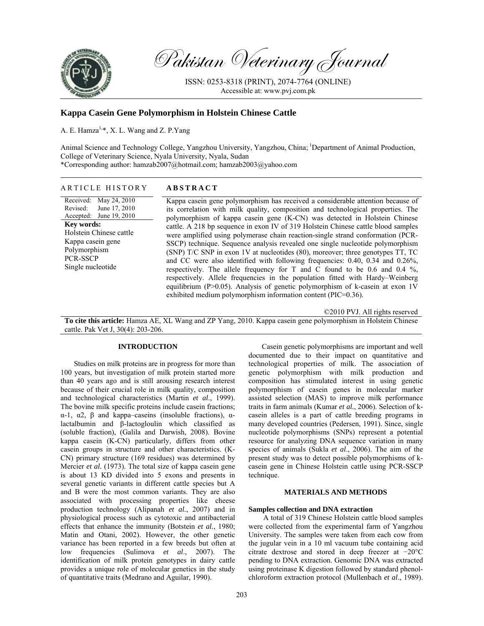

Pakistan Veterinary Journal

ISSN: 0253-8318 (PRINT), 2074-7764 (ONLINE) Accessible at: www.pvj.com.pk

# **Kappa Casein Gene Polymorphism in Holstein Chinese Cattle**

A. E. Hamza<sup>1,\*</sup>, X. L. Wang and Z. P. Yang

Animal Science and Technology College, Yangzhou University, Yangzhou, China; 1Department of Animal Production, College of Veterinary Science, Nyala University, Nyala, Sudan \*Corresponding author: hamzab2007@hotmail.com; hamzab2003@yahoo.com

## ARTICLE HISTORY **ABSTRACT**

Received: Revised: Accepted: May 24, 2010 June 17, 2010 June 19, 2010 **Key words:**  Holstein Chinese cattle Kappa casein gene Polymorphism PCR-SSCP Single nucleotide

Kappa casein gene polymorphism has received a considerable attention because of its correlation with milk quality, composition and technological properties. The polymorphism of kappa casein gene (K-CN) was detected in Holstein Chinese cattle. A 218 bp sequence in exon IV of 319 Holstein Chinese cattle blood samples were amplified using polymerase chain reaction-single strand conformation (PCR-SSCP) technique. Sequence analysis revealed one single nucleotide polymorphism (SNP) T/C SNP in exon 1V at nucleotides (80), moreover; three genotypes TT, TC and CC were also identified with following frequencies: 0.40, 0.34 and 0.26%, respectively. The allele frequency for T and C found to be 0.6 and 0.4  $\%$ , respectively. Allele frequencies in the population fitted with Hardy–Weinberg equilibrium (P>0.05). Analysis of genetic polymorphism of k-casein at exon 1V exhibited medium polymorphism information content (PIC=0.36).

©2010 PVJ. All rights reserved **To cite this article:** Hamza AE, XL Wang and ZP Yang, 2010. Kappa casein gene polymorphism in Holstein Chinese cattle. Pak Vet J, 30(4): 203-206.

#### **INTRODUCTION**

Studies on milk proteins are in progress for more than 100 years, but investigation of milk protein started more than 40 years ago and is still arousing research interest because of their crucial role in milk quality, composition and technological characteristics (Martin *et al*., 1999). The bovine milk specific proteins include casein fractions; α-1, α2, β and kappa–caseins (insoluble fractions), αlactalbumin and β-lactogloulin which classified as (soluble fraction), (Galila and Darwish, 2008). Bovine kappa casein (K-CN) particularly, differs from other casein groups in structure and other characteristics. (K-CN) primary structure (169 residues) was determined by Mercier *et al.* (1973). The total size of kappa casein gene is about 13 KD divided into 5 exons and presents in several genetic variants in different cattle species but A and B were the most common variants. They are also associated with processing properties like cheese production technology (Alipanah *et al.*, 2007) and in physiological process such as cytotoxic and antibacterial effects that enhance the immunity (Botstein *et al.*, 1980; Matin and Otani, 2002). However, the other genetic variance has been reported in a few breeds but often at low frequencies (Sulimova *et al*., 2007). The identification of milk protein genotypes in dairy cattle provides a unique role of molecular genetics in the study of quantitative traits (Medrano and Aguilar, 1990).

Casein genetic polymorphisms are important and well documented due to their impact on quantitative and technological properties of milk. The association of genetic polymorphism with milk production and composition has stimulated interest in using genetic polymorphism of casein genes in molecular marker assisted selection (MAS) to improve milk performance traits in farm animals (Kumar *et al.*, 2006). Selection of kcasein alleles is a part of cattle breeding programs in many developed countries (Pedersen, 1991). Since, single nucleotide polymorphisms (SNPs) represent a potential resource for analyzing DNA sequence variation in many species of animals (Sukla *et al*., 2006). The aim of the present study was to detect possible polymorphisms of kcasein gene in Chinese Holstein cattle using PCR-SSCP technique.

### **MATERIALS AND METHODS**

#### **Samples collection and DNA extraction**

A total of 319 Chinese Holstein cattle blood samples were collected from the experimental farm of Yangzhou University. The samples were taken from each cow from the jugular vein in a 10 ml vacuum tube containing acid citrate dextrose and stored in deep freezer at −20°C pending to DNA extraction. Genomic DNA was extracted using proteinase K digestion followed by standard phenolchloroform extraction protocol (Mullenbach *et al*., 1989).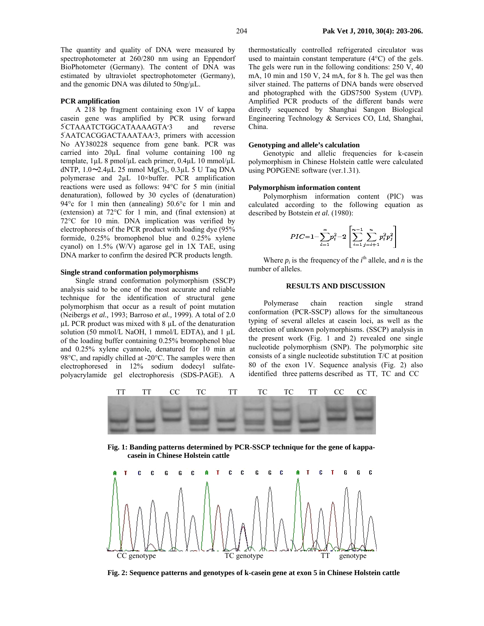The quantity and quality of DNA were measured by spectrophotometer at 260/280 nm using an Eppendorf BioPhotometer (Germany). The content of DNA was estimated by ultraviolet spectrophotometer (Germany), and the genomic DNA was diluted to 50ng/µL.

### **PCR amplification**

A 218 bp fragment containing exon 1V of kappa casein gene was amplified by PCR using forward ׳5 CTAAATCTGGCATAAAAGTA׳3 and reverse ׳5 AATCACGGACTAAATAA׳3, primers with accession No AY380228 sequence from gene bank. PCR was carried into 20µL final volume containing 100 ng template, 1µL 8 pmol/µL each primer, 0.4µL 10 mmol/µL dNTP,  $1.0$  $-2.4$ µL 25 mmol MgCl<sub>2</sub>,  $0.3$ µL 5 U Taq DNA polymerase and 2µL 10×buffer. PCR amplification reactions were used as follows: 94°C for 5 min (initial denaturation), followed by 30 cycles of (denaturation) 94°c for 1 min then (annealing) 50.6°c for 1 min and (extension) at 72°C for 1 min, and (final extension) at 72°C for 10 min. DNA implication was verified by electrophoresis of the PCR product with loading dye (95% formide, 0.25% bromophenol blue and 0.25% xylene cyanol) on 1.5% (W/V) agarose gel in 1X TAE, using DNA marker to confirm the desired PCR products length.

### **Single strand conformation polymorphisms**

Single strand conformation polymorphism (SSCP) analysis said to be one of the most accurate and reliable technique for the identification of structural gene polymorphism that occur as a result of point mutation (Neibergs *et al.,* 1993; Barroso *et al.,* 1999). A total of 2.0 µL PCR product was mixed with 8 µL of the denaturation solution (50 mmol/L NaOH, 1 mmol/L EDTA), and  $1 \mu$ L of the loading buffer containing 0.25% bromophenol blue and 0.25% xylene cyannole, denatured for 10 min at 98°C, and rapidly chilled at -20°C. The samples were then electrophoresed in 12% sodium dodecyl sulfatepolyacrylamide gel electrophoresis (SDS-PAGE). A

thermostatically controlled refrigerated circulator was used to maintain constant temperature (4°C) of the gels. The gels were run in the following conditions: 250 V, 40 mA, 10 min and 150 V, 24 mA, for 8 h. The gel was then silver stained. The patterns of DNA bands were observed and photographed with the GDS7500 System (UVP). Amplified PCR products of the different bands were directly sequenced by Shanghai Sangon Biological Engineering Technology & Services CO, Ltd, Shanghai, China.

#### **Genotyping and allele's calculation**

Genotypic and allelic frequencies for k-casein polymorphism in Chinese Holstein cattle were calculated using POPGENE software (ver.1.31).

### **Polymorphism information content**

Polymorphism information content (PIC) was calculated according to the following equation as described by Botstein *et al.* (1980):

$$
PIC=1-\sum_{i=1}^{n} p_i^2-2\left[\sum_{i=1}^{n-1}\sum_{j=i+1}^{n} p_i^2 p_j^2\right]
$$

Where  $p_i$  is the frequency of the  $i^{\text{th}}$  allele, and *n* is the number of alleles.

## **RESULTS AND DISCUSSION**

 Polymerase chain reaction single strand conformation (PCR-SSCP) allows for the simultaneous typing of several alleles at casein loci, as well as the detection of unknown polymorphisms. (SSCP) analysis in the present work (Fig. 1 and 2) revealed one single nucleotide polymorphism (SNP). The polymorphic site consists of a single nucleotide substitution T/C at position 80 of the exon 1V. Sequence analysis (Fig. 2) also identified three patterns described as TT, TC and CC



**Fig. 1: Banding patterns determined by PCR-SSCP technique for the gene of kappacasein in Chinese Holstein cattle** 



**Fig. 2: Sequence patterns and genotypes of k-casein gene at exon 5 in Chinese Holstein cattle**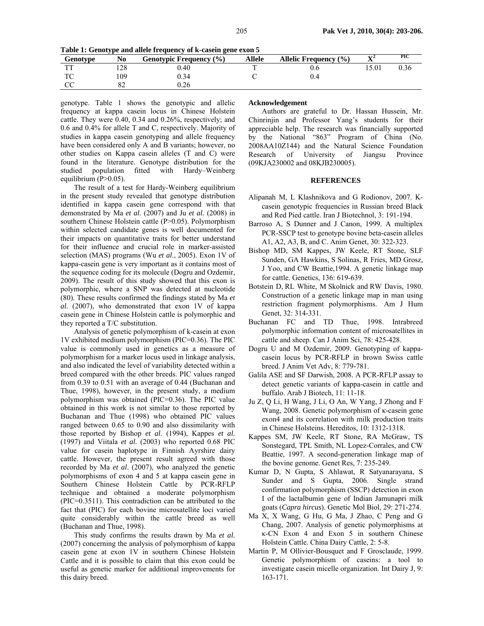**Table 1: Genotype and allele frequency of k-casein gene exon 5** 

| Genotype     | No               | <b>Genotypic Frequency (%)</b> | Allele | <b>Allelic Frequency (%)</b> | $\mathbf{v}$<br>41 | <b>PIC</b> |
|--------------|------------------|--------------------------------|--------|------------------------------|--------------------|------------|
| mm.          | 128              | 0.40                           |        |                              | 15.01              | 0.36       |
| $\mathbf{m}$ | 109              | 0.34                           |        |                              |                    |            |
|              | $^{\circ}$<br>٥Z | ).26                           |        |                              |                    |            |

genotype. Table 1 shows the genotypic and allelic frequency at kappa casein locus in Chinese Holstein cattle. They were 0.40, 0.34 and 0.26%, respectively; and 0.6 and 0.4% for allele T and C, respectively. Majority of studies in kappa casein genotyping and allele frequency have been considered only A and B variants; however, no other studies on Kappa casein alleles (T and C) were found in the literature. Genotype distribution for the studied population fitted with Hardy–Weinberg equilibrium (P>0.05).

The result of a test for Hardy-Weinberg equilibrium in the present study revealed that genotype distribution identified in kappa casein gene correspond with that demonstrated by Ma *et al*. (2007) and Ju *et al.* (2008) in southern Chinese Holstein cattle (P>0.05). Polymorphism within selected candidate genes is well documented for their impacts on quantitative traits for better understand for their influence and crucial role in marker-assisted selection (MAS) programs (Wu *et al*., 2005). Exon 1V of kappa-casein gene is very important as it contains most of the sequence coding for its molecule (Dogru and Ozdemir, 2009). The result of this study showed that this exon is polymorphic, where a SNP was detected at nucleotide (80). These results confirmed the findings stated by Ma *et al*. (2007), who demonstrated that exon 1V of kappa casein gene in Chinese Holstein cattle is polymorphic and they reported a T/C substitution.

Analysis of genetic polymorphism of k-casein at exon 1V exhibited medium polymorphism (PIC=0.36). The PIC value is commonly used in genetics as a measure of polymorphism for a marker locus used in linkage analysis, and also indicated the level of variability detected within a breed compared with the other breeds. PIC values ranged from 0.39 to 0.51 with an average of 0.44 (Buchanan and Thue, 1998), however, in the present study, a medium polymorphism was obtained (PIC=0.36). The PIC value obtained in this work is not similar to those reported by Buchanan and Thue (1998) who obtained PIC values ranged between 0.65 to 0.90 and also dissimilarity with those reported by Bishop *et al*. (1994), Kappes *et al.*  (1997) and Viitala *et al.* (2003) who reported 0.68 PIC value for casein haplotype in Finnish Ayrshire dairy cattle. However, the present result agreed with those recorded by Ma *et al*. (2007), who analyzed the genetic polymorphisms of exon 4 and 5 at kappa casein gene in Southern Chinese Holstein Cattle by PCR-RFLP technique and obtained a moderate polymorphism (PIC=0.3511). This contradiction can be attributed to the fact that (PIC) for each bovine microsatellite loci varied quite considerably within the cattle breed as well (Buchanan and Thue, 1998).

This study confirms the results drawn by Ma *et al.*  (2007) concerning the analysis of polymorphism of kappa casein gene at exon 1V in southern Chinese Holstein Cattle and it is possible to claim that this exon could be useful as genetic marker for additional improvements for this dairy breed.

#### **Acknowledgement**

Authors are grateful to Dr. Hassan Hussein, Mr. Chinrinjin and Professor Yang's students for their appreciable help. The research was financially supported by the National "863" Program of China (No. 2008AA10Z144) and the Natural Science Foundation Research of University of Jiangsu Province (09KJA230002 and 08KJB230005).

#### **REFERENCES**

- Alipanah M, L Klashnikova and G Rodionov, 2007. Kcasein genotypic frequencies in Russian breed Black and Red Pied cattle. Iran J Biotechnol, 3: 191-194.
- Barroso A, S Dunner and J Canon, 1999. A multiplex PCR-SSCP test to genotype bovine beta-casein alleles A1, A2, A3, B, and C. Anim Genet, 30: 322-323.
- Bishop MD, SM Kappes, JW Keele, RT Stone, SLF Sunden, GA Hawkins, S Solinas, R Fries, MD Grosz, J Yoo, and CW Beattie,1994. A genetic linkage map for cattle. Genetics, 136: 619-639.
- Botstein D, RL White, M Skolnick and RW Davis, 1980. Construction of a genetic linkage map in man using restriction fragment polymorphisms. Am J Hum Genet, 32: 314-331.
- Buchanan FC and TD Thue, 1998. Intrabreed polymorphic information content of microsatellites in cattle and sheep. Can J Anim Sci, 78: 425-428.
- Dogru U and M Ozdemir, 2009. Genotyping of kappacasein locus by PCR-RFLP in brown Swiss cattle breed. J Anim Vet Adv, 8: 779-781.
- Galila ASE and SF Darwish, 2008. A PCR-RFLP assay to detect genetic variants of kappa-casein in cattle and buffalo. Arab J Biotech, 11: 11-18.
- Ju Z, Q Li, H Wang, J Li, O An, W Yang, J Zhong and F Wang, 2008. Genetic polymorphism of κ-casein gene exon4 and its correlation with milk production traits in Chinese Holsteins. Hereditos, 10: 1312-1318.
- Kappes SM, JW Keele, RT Stone, RA McGraw, TS Sonstegard, TPL Smith, NL Lopez-Corrales, and CW Beattie, 1997. A second-generation linkage map of the bovine genome. Genet Res, 7: 235-249.
- Kumar D, N Gupta, S Ahlawat, R Satyanarayana, S Sunder and S Gupta, 2006. Single strand confirmation polymorphism (SSCP) detection in exon I of the lactalbumin gene of Indian Jamunapri milk goats (*Capra hircus*). Genetic Mol Biol, 29: 271-274.
- Ma X, X Wang, G Hu, G Ma, J Zhao, C Peng and G Chang, 2007. Analysis of genetic polymorphisms at κ-CN Exon 4 and Exon 5 in southern Chinese Holstein Cattle. China Dairy Cattle, 2: 5-8.
- Martin P, M Ollivier-Bousquet and F Grosclaude, 1999. Genetic polymorphism of caseins: a tool to investigate casein micelle organization. Int Dairy J, 9: 163-171.